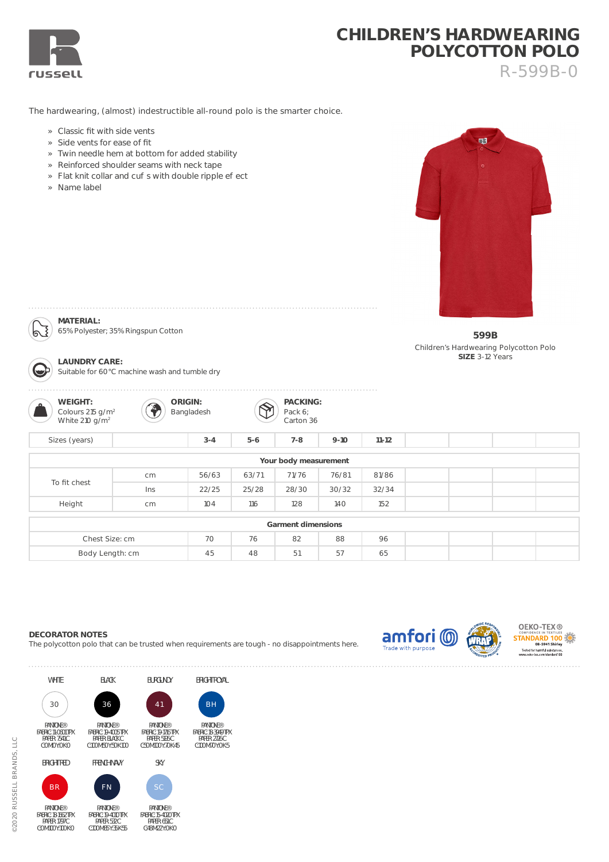

## **CHILDREN'S HARDWEARING POLYCOTTON POLO** R-599B-0

The hardwearing, (almost) indestructible all-round polo is the smarter choice.

- » Classic fit with side vents
- » Side vents for ease of fit
- » Twin needle hem at bottom for added stability
- » Reinforced shoulder seams with neck tape
- » Flat knit collar and cu s with double ripple e ect
- » Name label

**MATERIAL:** 

ದ

**LAUNDRY CARE:** 

65% Polyester; 35% Ringspun Cotton

Suitable for 60°C machine wash and tumble dry



**599B** Children's Hardwearing Polycotton Polo **SIZE** 3-12 Years

| WEIGHT:<br>$\Omega$<br>Colours 215 g/m <sup>2</sup><br>White 210 $g/m^2$ |     | ORIGIN:<br>Bangladesh |       | PACKING:<br>Pack 6;<br>Carton 36 |          |           |  |  |
|--------------------------------------------------------------------------|-----|-----------------------|-------|----------------------------------|----------|-----------|--|--|
| Sizes (years)                                                            |     | $3 - 4$               | $5-6$ | $7 - 8$                          | $9 - 10$ | $11 - 12$ |  |  |
|                                                                          |     |                       |       | Your body measurement            |          |           |  |  |
| To fit chest                                                             | cm  | 56/63                 | 63/71 | 71/76                            | 76/81    | 81/86     |  |  |
|                                                                          | Ins | 22/25                 | 25/28 | 28/30                            | 30/32    | 32/34     |  |  |
| Height                                                                   | cm  | 104                   | 116   | 128                              | 140      | 152       |  |  |
|                                                                          |     |                       |       | Garment dimensions               |          |           |  |  |
| Chest Size: cm                                                           |     | 70                    | 76    | 82                               | 88       | 96        |  |  |
| Body Length: cm                                                          |     | 45                    | 48    | 51                               | 57       | 65        |  |  |

## **DECORATOR NOTES**

The polycotton polo that can be trusted when requirements are tough - no disappointments here.

BH

PANTONE® FABRIC: 18-3949 TPX PAPER: 2726 C C:100 M:70 Y:0 K:5

BRIGHT ROYAL







BR

PANTONE® FABRIC: 18-1662 TPX PAPER: 1797 C C:0 M:100 Y:100 K:0



FN

PANTONE®





41

PANTONE®

**BURGUNDY** 

FABRIC: 19-4010 TPX PAPER: 532 C C:100 M:85 Y:35 K:55 PANTONE® FABRIC: 15-4020 TPX PAPER: 651 C C:48 M:22 Y:0 K:0